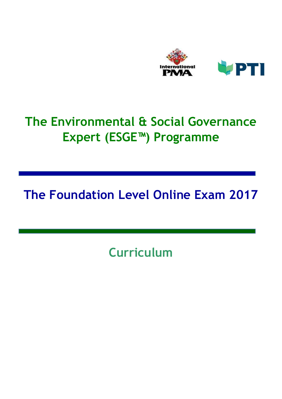

# The Environmental & Social Governance Expert (ESGE™) Programme

## The Foundation Level Online Exam 2017

**Curriculum**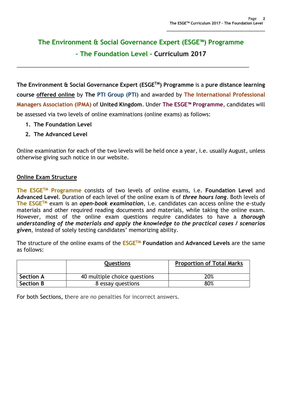### The Environment & Social Governance Expert (ESGE™) Programme – The Foundation Level - Curriculum 2017

\_\_\_\_\_\_\_\_\_\_\_\_\_\_\_\_\_\_\_\_\_\_\_\_\_\_\_\_\_\_\_\_\_\_\_\_\_\_\_\_\_\_\_\_\_\_\_\_\_\_\_\_\_\_\_\_\_\_\_\_\_\_\_\_\_\_\_\_\_\_\_\_\_\_\_\_\_\_

The Environment & Social Governance Expert (ESGETM) Programme is a pure distance learning course offered online by The PTI Group (PTI) and awarded by The International Professional Managers Association (IPMA) of United Kingdom. Under The ESGE™ Programme, candidates will be assessed via two levels of online examinations (online exams) as follows:

- 1. The Foundation Level
- 2. The Advanced Level

Online examination for each of the two levels will be held once a year, i.e. usually August, unless otherwise giving such notice in our website.

#### Online Exam Structure

The ESGE<sup>TM</sup> Programme consists of two levels of online exams, i.e. Foundation Level and Advanced Level. Duration of each level of the online exam is of *three hours long*. Both levels of The ESGE<sup>TM</sup> exam is an open-book examination, i.e. candidates can access online the e-study materials and other required reading documents and materials, while taking the online exam. However, most of the online exam questions require candidates to have a *thorough* understanding of the materials and apply the knowledge to the practical cases / scenarios given, instead of solely testing candidates' memorizing ability.

The structure of the online exams of the  $ESGE^{TM}$  Foundation and Advanced Levels are the same as follows:

|                  | <b>Questions</b>             | <b>Proportion of Total Marks</b> |
|------------------|------------------------------|----------------------------------|
| <b>Section A</b> | 40 multiple choice questions | 20%                              |
| <b>Section B</b> | 8 essay questions            | 80%                              |

For both Sections, there are no penalties for incorrect answers.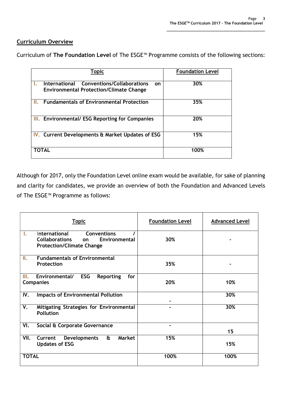#### Curriculum Overview

| <b>Topic</b>                                                                                               | <b>Foundation Level</b> |
|------------------------------------------------------------------------------------------------------------|-------------------------|
| <b>Conventions/Collaborations</b><br>International<br>on<br><b>Environmental Protection/Climate Change</b> | 30%                     |
| <b>Fundamentals of Environmental Protection</b>                                                            | 35%                     |
| <b>III.</b> Environmental/ ESG Reporting for Companies                                                     | 20%                     |
| IV. Current Developments & Market Updates of ESG                                                           | 15%                     |
| <b>TOTAL</b>                                                                                               | 100%                    |

Curriculum of The Foundation Level of The ESGE™ Programme consists of the following sections:

Although for 2017, only the Foundation Level online exam would be available, for sake of planning and clarity for candidates, we provide an overview of both the Foundation and Advanced Levels of The ESGE™ Programme as follows:

| <b>Topic</b>                                                                                                                  | <b>Foundation Level</b> | <b>Advanced Level</b> |
|-------------------------------------------------------------------------------------------------------------------------------|-------------------------|-----------------------|
| <b>Conventions</b><br>International<br>Ι.<br><b>Collaborations</b><br>Environmental<br>on<br><b>Protection/Climate Change</b> | 30%                     |                       |
| <b>Fundamentals of Environmental</b><br>Ш.<br>Protection                                                                      | 35%                     |                       |
| <b>ESG</b><br>Environmental/<br><b>Reporting</b><br>III.<br>for<br><b>Companies</b>                                           | 20%                     | 10%                   |
| <b>Impacts of Environmental Pollution</b><br>IV.                                                                              |                         | 30%                   |
| V.<br>Mitigating Strategies for Environmental<br><b>Pollution</b>                                                             | $\blacksquare$          | 30%                   |
| VI.<br>Social & Corporate Governance                                                                                          | $\blacksquare$          | 15                    |
| <b>Market</b><br>VII.<br>£<br>Current<br><b>Developments</b><br><b>Updates of ESG</b>                                         | 15%                     | 15%                   |
| <b>TOTAL</b>                                                                                                                  | 100%                    | 100%                  |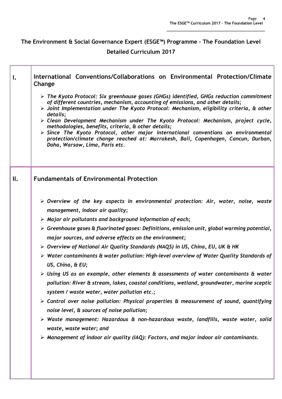### The Environment & Social Governance Expert (ESGE™) Programme – The Foundation Level Detailed Curriculum 2017

| Ι.  | International Conventions/Collaborations on Environmental Protection/Climate<br>Change<br>$\triangleright$ The Kyoto Protocol: Six greenhouse gases (GHGs) identified, GHGs reduction commitment<br>of different countries, mechanism, accounting of emissions, and other details;<br>$\triangleright$ Joint Implementation under The Kyoto Protocol: Mechanism, eligibility criteria, & other<br>details;<br>> Clean Development Mechanism under The Kyoto Protocol: Mechanism, project cycle,<br>methodologies, benefits, criteria, & other details;<br>$\triangleright$ Since The Kyoto Protocol, other major international conventions on environmental<br>protection/climate change reached at: Marrakesh, Bali, Copenhagen, Cancun, Durban,<br>Doha, Warsaw, Lima, Paris etc.                                                                                                                                                                                                                                                                                                                                                                                                                                                                                                                                                 |
|-----|-------------------------------------------------------------------------------------------------------------------------------------------------------------------------------------------------------------------------------------------------------------------------------------------------------------------------------------------------------------------------------------------------------------------------------------------------------------------------------------------------------------------------------------------------------------------------------------------------------------------------------------------------------------------------------------------------------------------------------------------------------------------------------------------------------------------------------------------------------------------------------------------------------------------------------------------------------------------------------------------------------------------------------------------------------------------------------------------------------------------------------------------------------------------------------------------------------------------------------------------------------------------------------------------------------------------------------------|
| II. | <b>Fundamentals of Environmental Protection</b><br>$\triangleright$ Overview of the key aspects in environmental protection: Air, water, noise, waste<br>management, indoor air quality;<br>$\triangleright$ Major air pollutants and background information of each;<br>$\triangleright$ Greenhouse gases & fluorinated gases: Definitions, emission unit, global warming potential,<br>major sources, and adverse effects on the environment;<br>$\triangleright$ Overview of National Air Quality Standards (NAQS) in US, China, EU, UK & HK<br>$\triangleright$ Water contaminants & water pollution: High-level overview of Water Quality Standards of<br>US, China, & EU;<br>$\triangleright$ Using US as an example, other elements & assessments of water contaminants & water<br>pollution: River & stream, lakes, coastal conditions, wetland, groundwater, marine sceptic<br>system / waste water, water pollution etc.;<br>$\triangleright$ Control over noise pollution: Physical properties & measurement of sound, quantifying<br>noise level, & sources of noise pollution;<br>$\triangleright$ Waste management: Hazardous & non-hazardous waste, landfills, waste water, solid<br>waste, waste water; and<br>$\triangleright$ Management of indoor air quality (IAQ): Factors, and major indoor air contaminants. |